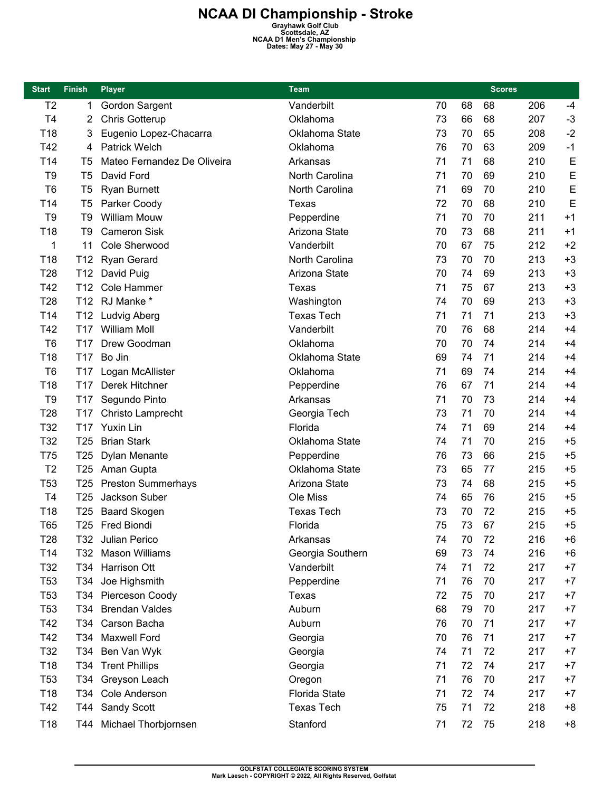| <b>Start</b>    | <b>Finish</b>   | <b>Player</b>               | Team                 |    |        | <b>Scores</b> |     |      |
|-----------------|-----------------|-----------------------------|----------------------|----|--------|---------------|-----|------|
| T <sub>2</sub>  | 1               | Gordon Sargent              | Vanderbilt           | 70 | 68     | 68            | 206 | $-4$ |
| T <sub>4</sub>  | $\overline{2}$  | <b>Chris Gotterup</b>       | Oklahoma             | 73 | 66     | 68            | 207 | $-3$ |
| T18             | 3               | Eugenio Lopez-Chacarra      | Oklahoma State       | 73 | 70     | 65            | 208 | $-2$ |
| T42             | 4               | <b>Patrick Welch</b>        | Oklahoma             | 76 | 70     | 63            | 209 | $-1$ |
| T14             | T5              | Mateo Fernandez De Oliveira | Arkansas             | 71 | 71     | 68            | 210 | E    |
| T <sub>9</sub>  | T <sub>5</sub>  | David Ford                  | North Carolina       | 71 | 70     | 69            | 210 | E    |
| T <sub>6</sub>  | T <sub>5</sub>  | <b>Ryan Burnett</b>         | North Carolina       | 71 | 69     | 70            | 210 | E    |
| T14             | T <sub>5</sub>  | Parker Coody                | Texas                | 72 | 70     | 68            | 210 | E    |
| T <sub>9</sub>  | T9              | <b>William Mouw</b>         | Pepperdine           | 71 | $70\,$ | 70            | 211 | $+1$ |
| T18             | T9              | <b>Cameron Sisk</b>         | Arizona State        | 70 | 73     | 68            | 211 | $+1$ |
| 1               | 11              | Cole Sherwood               | Vanderbilt           | 70 | 67     | 75            | 212 | $+2$ |
| T <sub>18</sub> | T <sub>12</sub> | Ryan Gerard                 | North Carolina       | 73 | 70     | 70            | 213 | $+3$ |
| <b>T28</b>      | T12             | David Puig                  | Arizona State        | 70 | 74     | 69            | 213 | $+3$ |
| T42             | T <sub>12</sub> | Cole Hammer                 | Texas                | 71 | 75     | 67            | 213 | $+3$ |
| T <sub>28</sub> |                 | T12 RJ Manke *              | Washington           | 74 | 70     | 69            | 213 | $+3$ |
| T14             | T12             | Ludvig Aberg                | <b>Texas Tech</b>    | 71 | 71     | 71            | 213 | $+3$ |
| T42             | T <sub>17</sub> | <b>William Moll</b>         | Vanderbilt           | 70 | 76     | 68            | 214 | $+4$ |
| T <sub>6</sub>  | T <sub>17</sub> | Drew Goodman                | Oklahoma             | 70 | 70     | 74            | 214 | $+4$ |
| T18             | T17             | Bo Jin                      | Oklahoma State       | 69 | 74     | 71            | 214 | $+4$ |
| T <sub>6</sub>  | T <sub>17</sub> | Logan McAllister            | Oklahoma             | 71 | 69     | 74            | 214 | $+4$ |
| T18             | T <sub>17</sub> | Derek Hitchner              | Pepperdine           | 76 | 67     | 71            | 214 | $+4$ |
| T <sub>9</sub>  | T17             | Segundo Pinto               | Arkansas             | 71 | 70     | 73            | 214 | $+4$ |
| T <sub>28</sub> | T <sub>17</sub> | Christo Lamprecht           | Georgia Tech         | 73 | 71     | 70            | 214 | $+4$ |
| T32             | T <sub>17</sub> | Yuxin Lin                   | Florida              | 74 | 71     | 69            | 214 | $+4$ |
| T32             | T <sub>25</sub> | <b>Brian Stark</b>          | Oklahoma State       | 74 | 71     | 70            | 215 | $+5$ |
| <b>T75</b>      | T <sub>25</sub> | Dylan Menante               | Pepperdine           | 76 | 73     | 66            | 215 | $+5$ |
| T <sub>2</sub>  | T <sub>25</sub> | Aman Gupta                  | Oklahoma State       | 73 | 65     | 77            | 215 | $+5$ |
| T <sub>53</sub> | T25             | <b>Preston Summerhays</b>   | Arizona State        | 73 | 74     | 68            | 215 | $+5$ |
| T <sub>4</sub>  | T <sub>25</sub> | Jackson Suber               | Ole Miss             | 74 | 65     | 76            | 215 | $+5$ |
| T18             | T25             | <b>Baard Skogen</b>         | <b>Texas Tech</b>    | 73 | 70     | 72            | 215 | $+5$ |
| T65             |                 | T25 Fred Biondi             | Florida              | 75 | 73     | 67            | 215 | $+5$ |
| T <sub>28</sub> | T32             | Julian Perico               | Arkansas             | 74 | 70     | 72            | 216 | $+6$ |
| T14             | T32             | Mason Williams              | Georgia Southern     | 69 | 73     | 74            | 216 | $+6$ |
| T32             | T34             | Harrison Ott                | Vanderbilt           | 74 | 71     | 72            | 217 | $+7$ |
| T <sub>53</sub> | T34             | Joe Highsmith               | Pepperdine           | 71 | 76     | 70            | 217 | $+7$ |
| T <sub>53</sub> | T34             | Pierceson Coody             | Texas                | 72 | 75     | 70            | 217 | $+7$ |
| T <sub>53</sub> | T34             | <b>Brendan Valdes</b>       | Auburn               | 68 | 79     | 70            | 217 | $+7$ |
| T42             | T34             | Carson Bacha                | Auburn               | 76 | 70     | 71            | 217 | $+7$ |
| T42             | T34             | Maxwell Ford                | Georgia              | 70 | 76     | 71            | 217 | $+7$ |
| T32             | T34             | Ben Van Wyk                 | Georgia              | 74 | 71     | 72            | 217 | $+7$ |
| T18             | T34             | <b>Trent Phillips</b>       | Georgia              | 71 | 72     | 74            | 217 | $+7$ |
| T <sub>53</sub> | T34             | Greyson Leach               | Oregon               | 71 | 76     | 70            | 217 | $+7$ |
| T18             | T34             | Cole Anderson               | <b>Florida State</b> | 71 | 72     | 74            | 217 | $+7$ |
| T42             | T44             | Sandy Scott                 | <b>Texas Tech</b>    | 75 | 71     | 72            | 218 | $+8$ |
| T18             | T44             | Michael Thorbjornsen        | Stanford             | 71 | 72     | 75            | 218 | $+8$ |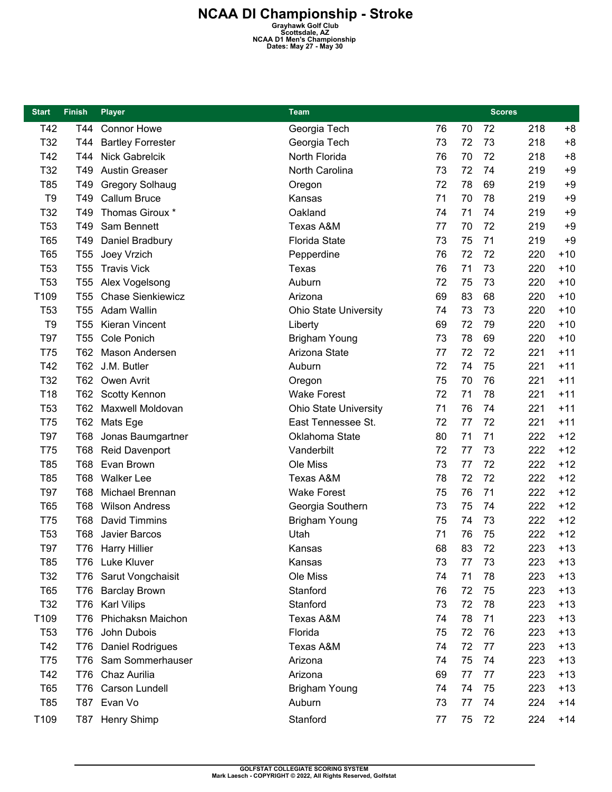| <b>Start</b>    | <b>Finish</b>   | <b>Player</b>            | <b>Team</b>                  |    |    | <b>Scores</b> |     |       |
|-----------------|-----------------|--------------------------|------------------------------|----|----|---------------|-----|-------|
| T42             | T44             | <b>Connor Howe</b>       | Georgia Tech                 | 76 | 70 | 72            | 218 | $+8$  |
| T32             | T44             | <b>Bartley Forrester</b> | Georgia Tech                 | 73 | 72 | 73            | 218 | $+8$  |
| T42             | T44             | <b>Nick Gabrelcik</b>    | North Florida                | 76 | 70 | 72            | 218 | $+8$  |
| T32             | T49             | <b>Austin Greaser</b>    | North Carolina               | 73 | 72 | 74            | 219 | $+9$  |
| T85             | T49             | <b>Gregory Solhaug</b>   | Oregon                       | 72 | 78 | 69            | 219 | $+9$  |
| T <sub>9</sub>  | T49             | Callum Bruce             | Kansas                       | 71 | 70 | 78            | 219 | $+9$  |
| T32             | T49             | Thomas Giroux *          | Oakland                      | 74 | 71 | 74            | 219 | $+9$  |
| T <sub>53</sub> | T49             | Sam Bennett              | Texas A&M                    | 77 | 70 | 72            | 219 | $+9$  |
| <b>T65</b>      | T49             | Daniel Bradbury          | <b>Florida State</b>         | 73 | 75 | 71            | 219 | $+9$  |
| T65             | <b>T55</b>      | Joey Vrzich              | Pepperdine                   | 76 | 72 | 72            | 220 | $+10$ |
| T <sub>53</sub> | T <sub>55</sub> | <b>Travis Vick</b>       | Texas                        | 76 | 71 | 73            | 220 | $+10$ |
| T <sub>53</sub> | T <sub>55</sub> | Alex Vogelsong           | Auburn                       | 72 | 75 | 73            | 220 | $+10$ |
| T109            | T <sub>55</sub> | <b>Chase Sienkiewicz</b> | Arizona                      | 69 | 83 | 68            | 220 | $+10$ |
| T <sub>53</sub> | T <sub>55</sub> | Adam Wallin              | <b>Ohio State University</b> | 74 | 73 | 73            | 220 | $+10$ |
| T <sub>9</sub>  | T <sub>55</sub> | <b>Kieran Vincent</b>    | Liberty                      | 69 | 72 | 79            | 220 | $+10$ |
| T97             | T <sub>55</sub> | Cole Ponich              | <b>Brigham Young</b>         | 73 | 78 | 69            | 220 | $+10$ |
| T75             | <b>T62</b>      | Mason Andersen           | Arizona State                | 77 | 72 | 72            | 221 | $+11$ |
| T42             | T62             | J.M. Butler              | Auburn                       | 72 | 74 | 75            | 221 | $+11$ |
| T32             | T62             | Owen Avrit               | Oregon                       | 75 | 70 | 76            | 221 | $+11$ |
| T18             | T62             | <b>Scotty Kennon</b>     | <b>Wake Forest</b>           | 72 | 71 | 78            | 221 | $+11$ |
| T <sub>53</sub> | T62             | Maxwell Moldovan         | Ohio State University        | 71 | 76 | 74            | 221 | $+11$ |
| T75             | T62             | Mats Ege                 | East Tennessee St.           | 72 | 77 | 72            | 221 | $+11$ |
| T97             | <b>T68</b>      | Jonas Baumgartner        | Oklahoma State               | 80 | 71 | 71            | 222 | $+12$ |
| T75             | T68             | Reid Davenport           | Vanderbilt                   | 72 | 77 | 73            | 222 | $+12$ |
| T85             | T68             | Evan Brown               | Ole Miss                     | 73 | 77 | 72            | 222 | $+12$ |
| T85             | <b>T68</b>      | <b>Walker Lee</b>        | Texas A&M                    | 78 | 72 | 72            | 222 | $+12$ |
| T97             | T68             | Michael Brennan          | <b>Wake Forest</b>           | 75 | 76 | 71            | 222 | $+12$ |
| T65             | T68             | <b>Wilson Andress</b>    | Georgia Southern             | 73 | 75 | 74            | 222 | $+12$ |
| T75             | <b>T68</b>      | David Timmins            | <b>Brigham Young</b>         | 75 | 74 | 73            | 222 | $+12$ |
| T <sub>53</sub> | T68             | Javier Barcos            | Utah                         | 71 | 76 | 75            | 222 | $+12$ |
| T97             | T76             | <b>Harry Hillier</b>     | Kansas                       | 68 | 83 | 72            | 223 | $+13$ |
| T85             |                 | T76 Luke Kluver          | Kansas                       | 73 | 77 | 73            | 223 | $+13$ |
| T32             | T76             | Sarut Vongchaisit        | Ole Miss                     | 74 | 71 | 78            | 223 | $+13$ |
| T65             | <b>T76</b>      | <b>Barclay Brown</b>     | Stanford                     | 76 | 72 | 75            | 223 | $+13$ |
| T32             | <b>T76</b>      | <b>Karl Vilips</b>       | Stanford                     | 73 | 72 | 78            | 223 | $+13$ |
| T109            | T76             | Phichaksn Maichon        | Texas A&M                    | 74 | 78 | 71            | 223 | $+13$ |
| T <sub>53</sub> | <b>T76</b>      | John Dubois              | Florida                      | 75 | 72 | 76            | 223 | $+13$ |
| T42             | <b>T76</b>      | <b>Daniel Rodrigues</b>  | Texas A&M                    | 74 | 72 | 77            | 223 | $+13$ |
| T75             | T76             | Sam Sommerhauser         | Arizona                      | 74 | 75 | 74            | 223 | $+13$ |
| T42             | <b>T76</b>      | Chaz Aurilia             | Arizona                      | 69 | 77 | 77            | 223 | $+13$ |
| <b>T65</b>      | T76             | Carson Lundell           | <b>Brigham Young</b>         | 74 | 74 | 75            | 223 | $+13$ |
| T85             | T87             | Evan Vo                  | Auburn                       | 73 | 77 | 74            | 224 | $+14$ |
| T109            | T87             | Henry Shimp              | Stanford                     | 77 | 75 | 72            | 224 | $+14$ |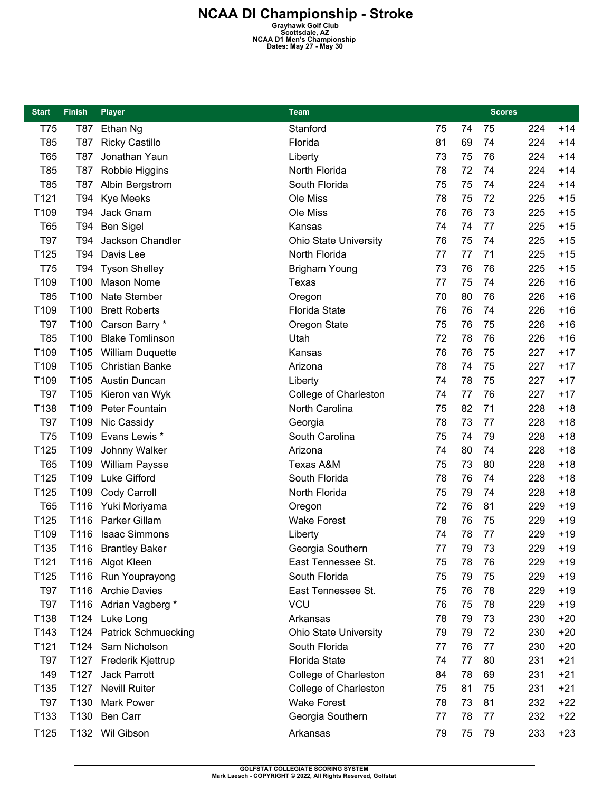| <b>Start</b> | <b>Finish</b>    | <b>Player</b>            | <b>Team</b>                  |    |    | <b>Scores</b> |     |       |
|--------------|------------------|--------------------------|------------------------------|----|----|---------------|-----|-------|
| T75          | T87              | Ethan Ng                 | Stanford                     | 75 | 74 | 75            | 224 | $+14$ |
| T85          | <b>T87</b>       | <b>Ricky Castillo</b>    | Florida                      | 81 | 69 | 74            | 224 | $+14$ |
| <b>T65</b>   | T87              | Jonathan Yaun            | Liberty                      | 73 | 75 | 76            | 224 | $+14$ |
| T85          | T87              | Robbie Higgins           | North Florida                | 78 | 72 | 74            | 224 | $+14$ |
| T85          | T87              | Albin Bergstrom          | South Florida                | 75 | 75 | 74            | 224 | $+14$ |
| T121         | T94              | <b>Kye Meeks</b>         | Ole Miss                     | 78 | 75 | 72            | 225 | $+15$ |
| T109         | T94              | Jack Gnam                | Ole Miss                     | 76 | 76 | 73            | 225 | $+15$ |
| T65          | T94              | <b>Ben Sigel</b>         | Kansas                       | 74 | 74 | 77            | 225 | $+15$ |
| <b>T97</b>   | T94              | Jackson Chandler         | Ohio State University        | 76 | 75 | 74            | 225 | $+15$ |
| T125         | T94              | Davis Lee                | North Florida                | 77 | 77 | 71            | 225 | $+15$ |
| T75          | T94              | <b>Tyson Shelley</b>     | <b>Brigham Young</b>         | 73 | 76 | 76            | 225 | $+15$ |
| T109         | T100             | Mason Nome               | Texas                        | 77 | 75 | 74            | 226 | $+16$ |
| T85          | T100             | Nate Stember             | Oregon                       | 70 | 80 | 76            | 226 | $+16$ |
| T109         | T100             | <b>Brett Roberts</b>     | <b>Florida State</b>         | 76 | 76 | 74            | 226 | $+16$ |
| <b>T97</b>   | T100             | Carson Barry *           | Oregon State                 | 75 | 76 | 75            | 226 | $+16$ |
| T85          | T100             | <b>Blake Tomlinson</b>   | Utah                         | 72 | 78 | 76            | 226 | $+16$ |
| T109         | T105             | <b>William Duquette</b>  | Kansas                       | 76 | 76 | 75            | 227 | $+17$ |
| T109         | T105             | <b>Christian Banke</b>   | Arizona                      | 78 | 74 | 75            | 227 | $+17$ |
| T109         | T <sub>105</sub> | <b>Austin Duncan</b>     | Liberty                      | 74 | 78 | 75            | 227 | $+17$ |
| T97          | T <sub>105</sub> | Kieron van Wyk           | College of Charleston        | 74 | 77 | 76            | 227 | $+17$ |
| T138         | T109             | Peter Fountain           | North Carolina               | 75 | 82 | 71            | 228 | $+18$ |
| T97          | T109             | Nic Cassidy              | Georgia                      | 78 | 73 | 77            | 228 | $+18$ |
| T75          | T109             | Evans Lewis *            | South Carolina               | 75 | 74 | 79            | 228 | $+18$ |
| T125         | T109             | Johnny Walker            | Arizona                      | 74 | 80 | 74            | 228 | $+18$ |
| T65          | T109             | <b>William Paysse</b>    | <b>Texas A&amp;M</b>         | 75 | 73 | 80            | 228 | $+18$ |
| T125         | T109             | Luke Gifford             | South Florida                | 78 | 76 | 74            | 228 | $+18$ |
| T125         | T109             | Cody Carroll             | North Florida                | 75 | 79 | 74            | 228 | $+18$ |
| T65          | T116             | Yuki Moriyama            | Oregon                       | 72 | 76 | 81            | 229 | $+19$ |
| T125         | T116             | Parker Gillam            | <b>Wake Forest</b>           | 78 | 76 | 75            | 229 | $+19$ |
| T109         | T116             | <b>Isaac Simmons</b>     | Liberty                      | 74 | 78 | 77            | 229 | $+19$ |
| T135         |                  | T116 Brantley Baker      | Georgia Southern             | 77 | 79 | 73            | 229 | $+19$ |
| T121         |                  | T116 Algot Kleen         | East Tennessee St.           | 75 | 78 | 76            | 229 | $+19$ |
| T125         |                  | T116 Run Youprayong      | South Florida                | 75 | 79 | 75            | 229 | $+19$ |
| T97          |                  | T116 Archie Davies       | East Tennessee St.           | 75 | 76 | 78            | 229 | $+19$ |
| T97          |                  | T116 Adrian Vagberg *    | <b>VCU</b>                   | 76 | 75 | 78            | 229 | $+19$ |
| T138         |                  | T124 Luke Long           | Arkansas                     | 78 | 79 | 73            | 230 | $+20$ |
| T143         |                  | T124 Patrick Schmuecking | <b>Ohio State University</b> | 79 | 79 | 72            | 230 | $+20$ |
| T121         |                  | T124 Sam Nicholson       | South Florida                | 77 | 76 | 77            | 230 | $+20$ |
| <b>T97</b>   |                  | T127 Frederik Kjettrup   | <b>Florida State</b>         | 74 | 77 | 80            | 231 | $+21$ |
| 149          | T127             | Jack Parrott             | College of Charleston        | 84 | 78 | 69            | 231 | $+21$ |
| T135         | T127             | <b>Nevill Ruiter</b>     | College of Charleston        | 75 | 81 | 75            | 231 | $+21$ |
| <b>T97</b>   | T130             | <b>Mark Power</b>        | <b>Wake Forest</b>           | 78 | 73 | 81            | 232 | $+22$ |
| T133         | T130             | Ben Carr                 | Georgia Southern             | 77 | 78 | 77            | 232 | $+22$ |
| T125         |                  | T132 Wil Gibson          | Arkansas                     | 79 | 75 | 79            | 233 | $+23$ |